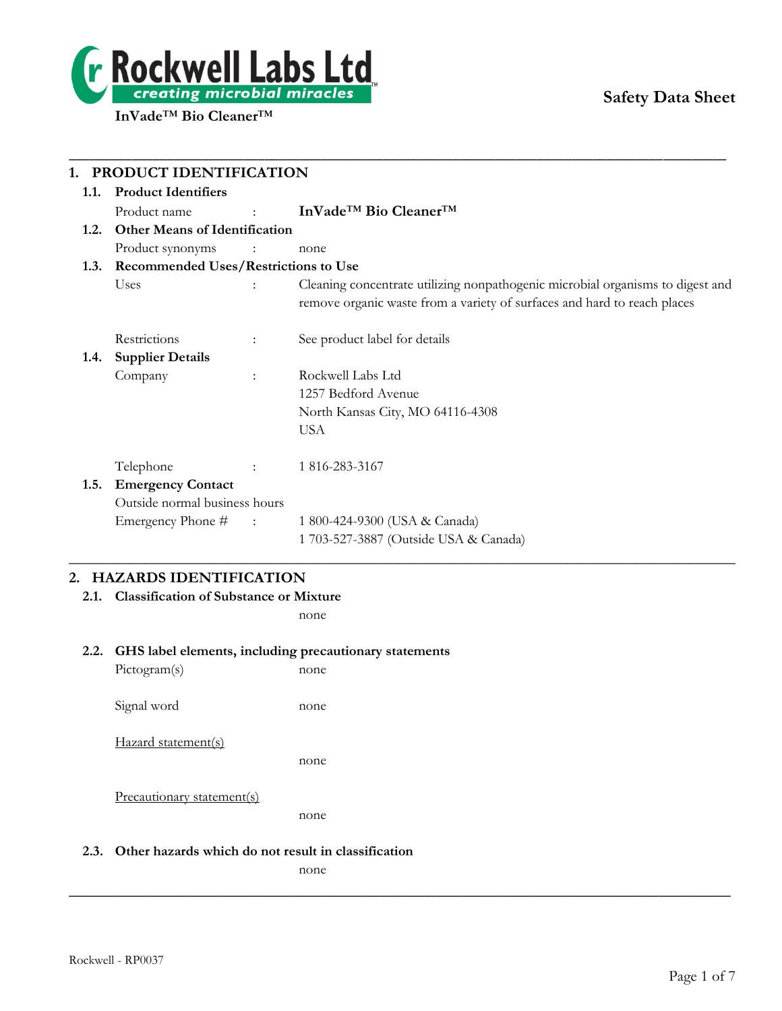

# **Safety Data Sheet**

|      | PRODUCT IDENTIFICATION                          |                            |                                                                                |
|------|-------------------------------------------------|----------------------------|--------------------------------------------------------------------------------|
| 1.1. | <b>Product Identifiers</b>                      |                            |                                                                                |
|      | Product name<br>アンティー こうしょう                     |                            | InVade <sup>™</sup> Bio Cleaner <sup>™</sup>                                   |
| 1.2. | <b>Other Means of Identification</b>            |                            |                                                                                |
|      | Product synonyms<br>$\sim$ $\sim$ $\sim$ $\sim$ |                            | none                                                                           |
|      | 1.3. Recommended Uses/Restrictions to Use       |                            |                                                                                |
|      | Uses                                            |                            | Cleaning concentrate utilizing nonpathogenic microbial organisms to digest and |
|      |                                                 |                            | remove organic waste from a variety of surfaces and hard to reach places       |
|      | Restrictions<br>$\ddot{\cdot}$                  |                            | See product label for details                                                  |
| 1.4. | <b>Supplier Details</b>                         |                            |                                                                                |
|      | Company<br>$\ddot{\phantom{a}}$                 |                            | Rockwell Labs Ltd                                                              |
|      |                                                 |                            | 1257 Bedford Avenue                                                            |
|      |                                                 |                            | North Kansas City, MO 64116-4308                                               |
|      |                                                 |                            | <b>USA</b>                                                                     |
|      | Telephone                                       | $\mathcal{L}^{\text{max}}$ | 1 816-283-3167                                                                 |
| 1.5. | <b>Emergency Contact</b>                        |                            |                                                                                |
|      | Outside normal business hours                   |                            |                                                                                |
|      | Emergency Phone # :                             |                            | 1 800-424-9300 (USA & Canada)                                                  |
|      |                                                 |                            | 1 703-527-3887 (Outside USA & Canada)                                          |

\_\_\_\_\_\_\_\_\_\_\_\_\_\_\_\_\_\_\_\_\_\_\_\_\_\_\_\_\_\_\_\_\_\_\_\_\_\_\_\_\_\_\_\_\_\_\_\_\_\_\_\_\_\_\_\_\_\_\_\_\_\_\_\_\_\_\_\_\_\_\_\_\_\_\_\_\_\_\_\_\_\_\_\_\_\_\_\_\_\_\_\_\_\_

# **2. HAZARDS IDENTIFICATION**

**2.1. Classification of Substance or Mixture**

none

#### **2.2. GHS label elements, including precautionary statements**

Pictogram(s) none Signal word none

Hazard statement(s)

none

Precautionary statement(s)

none

#### **2.3. Other hazards which do not result in classification**

none

**\_\_\_\_\_\_\_\_\_\_\_\_\_\_\_\_\_\_\_\_\_\_\_\_\_\_\_\_\_\_\_\_\_\_\_\_\_\_\_\_\_\_\_\_\_\_\_\_\_\_\_\_\_\_\_\_\_\_\_\_\_\_\_\_\_\_\_\_\_\_\_\_\_\_**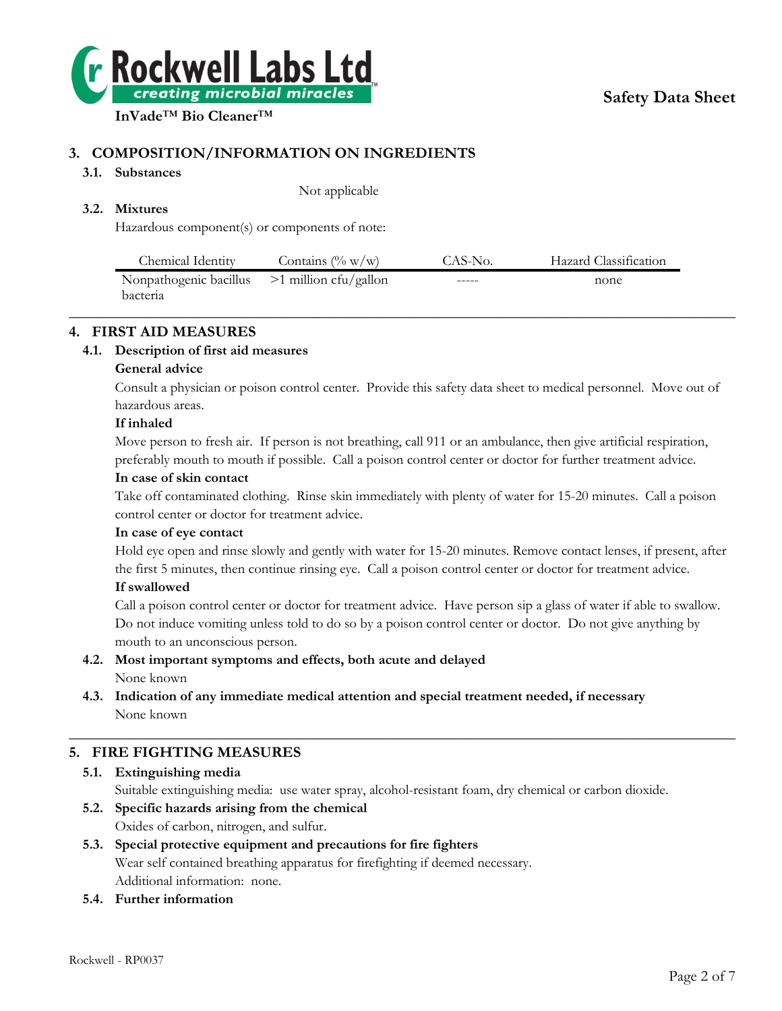

# **3. COMPOSITION/INFORMATION ON INGREDIENTS**

## **3.1. Substances**

Not applicable

# **3.2. Mixtures**

Hazardous component(s) or components of note:

| Chemical Identity                              | Contains $(\% w/w)$ | CAS-No. | Hazard Classification |  |
|------------------------------------------------|---------------------|---------|-----------------------|--|
| Nonpathogenic bacillus $>1$ million cfu/gallon |                     | -----   | none                  |  |
| bacteria                                       |                     |         |                       |  |
|                                                |                     |         |                       |  |

# **4. FIRST AID MEASURES**

# **4.1. Description of first aid measures**

# **General advice**

Consult a physician or poison control center. Provide this safety data sheet to medical personnel. Move out of hazardous areas.

## **If inhaled**

Move person to fresh air. If person is not breathing, call 911 or an ambulance, then give artificial respiration, preferably mouth to mouth if possible. Call a poison control center or doctor for further treatment advice.

## **In case of skin contact**

Take off contaminated clothing. Rinse skin immediately with plenty of water for 15-20 minutes. Call a poison control center or doctor for treatment advice.

## **In case of eye contact**

Hold eye open and rinse slowly and gently with water for 15-20 minutes. Remove contact lenses, if present, after the first 5 minutes, then continue rinsing eye. Call a poison control center or doctor for treatment advice.

# **If swallowed**

Call a poison control center or doctor for treatment advice. Have person sip a glass of water if able to swallow. Do not induce vomiting unless told to do so by a poison control center or doctor. Do not give anything by mouth to an unconscious person.

#### **4.2. Most important symptoms and effects, both acute and delayed** None known

# **4.3. Indication of any immediate medical attention and special treatment needed, if necessary** None known

# **5. FIRE FIGHTING MEASURES**

**5.1. Extinguishing media** Suitable extinguishing media: use water spray, alcohol-resistant foam, dry chemical or carbon dioxide.

 $\_$  , and the set of the set of the set of the set of the set of the set of the set of the set of the set of the set of the set of the set of the set of the set of the set of the set of the set of the set of the set of th

**5.2. Specific hazards arising from the chemical** Oxides of carbon, nitrogen, and sulfur.

## **5.3. Special protective equipment and precautions for fire fighters** Wear self contained breathing apparatus for firefighting if deemed necessary. Additional information: none.

# **5.4. Further information**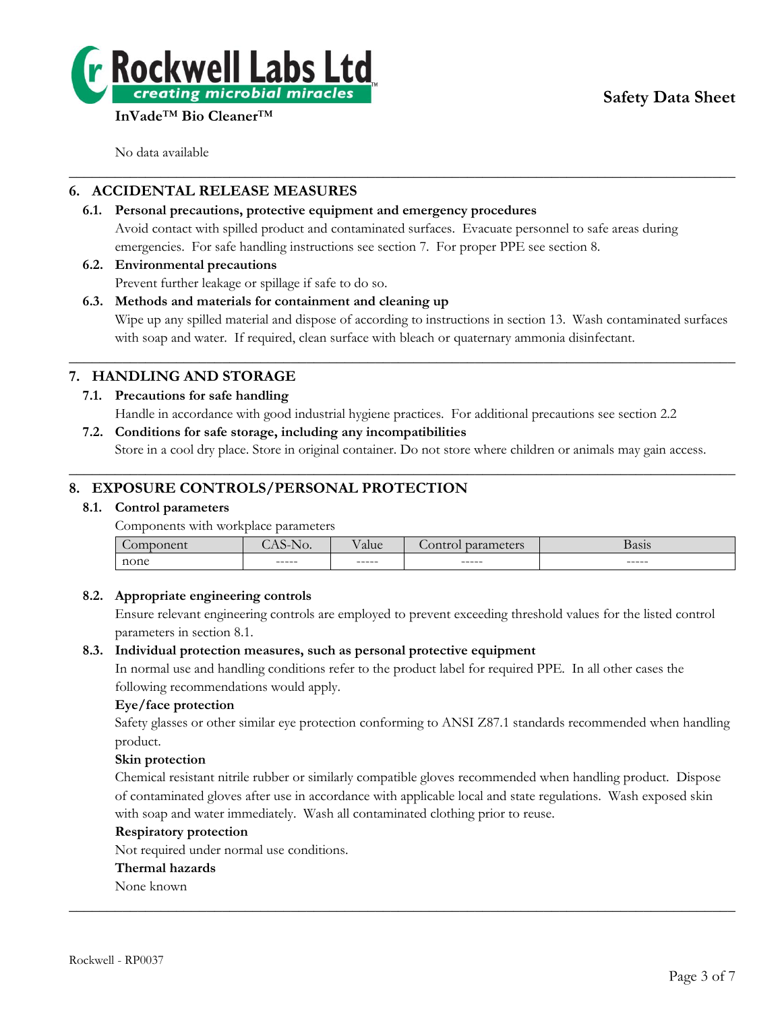

No data available

# **6. ACCIDENTAL RELEASE MEASURES**

#### **6.1. Personal precautions, protective equipment and emergency procedures** Avoid contact with spilled product and contaminated surfaces. Evacuate personnel to safe areas during

emergencies. For safe handling instructions see section 7. For proper PPE see section 8.

# **6.2. Environmental precautions**

Prevent further leakage or spillage if safe to do so.

## **6.3. Methods and materials for containment and cleaning up**

Wipe up any spilled material and dispose of according to instructions in section 13. Wash contaminated surfaces with soap and water. If required, clean surface with bleach or quaternary ammonia disinfectant.

# **7. HANDLING AND STORAGE**

# **7.1. Precautions for safe handling**

Handle in accordance with good industrial hygiene practices. For additional precautions see section 2.2

 $\_$  , and the set of the set of the set of the set of the set of the set of the set of the set of the set of the set of the set of the set of the set of the set of the set of the set of the set of the set of the set of th

 $\_$  , and the set of the set of the set of the set of the set of the set of the set of the set of the set of the set of the set of the set of the set of the set of the set of the set of the set of the set of the set of th

**7.2. Conditions for safe storage, including any incompatibilities**

Store in a cool dry place. Store in original container. Do not store where children or animals may gain access.  $\_$  , and the set of the set of the set of the set of the set of the set of the set of the set of the set of the set of the set of the set of the set of the set of the set of the set of the set of the set of the set of th

# **8. EXPOSURE CONTROLS/PERSONAL PROTECTION**

## **8.1. Control parameters**

Components with workplace parameters

| $\sim$<br>_____ | ~<br>NO.<br>$\sim$ $\sim$ |        | $-0.480$ | $\sim$<br>--- - |
|-----------------|---------------------------|--------|----------|-----------------|
| none            |                           |        |          |                 |
|                 | ------                    | ------ | ------   | ------          |
|                 |                           |        |          |                 |

## **8.2. Appropriate engineering controls**

Ensure relevant engineering controls are employed to prevent exceeding threshold values for the listed control parameters in section 8.1.

## **8.3. Individual protection measures, such as personal protective equipment**

In normal use and handling conditions refer to the product label for required PPE. In all other cases the following recommendations would apply.

## **Eye/face protection**

Safety glasses or other similar eye protection conforming to ANSI Z87.1 standards recommended when handling product.

## **Skin protection**

Chemical resistant nitrile rubber or similarly compatible gloves recommended when handling product. Dispose of contaminated gloves after use in accordance with applicable local and state regulations. Wash exposed skin with soap and water immediately. Wash all contaminated clothing prior to reuse.

 $\_$  , and the set of the set of the set of the set of the set of the set of the set of the set of the set of the set of the set of the set of the set of the set of the set of the set of the set of the set of the set of th

#### **Respiratory protection**

Not required under normal use conditions.

#### **Thermal hazards**

None known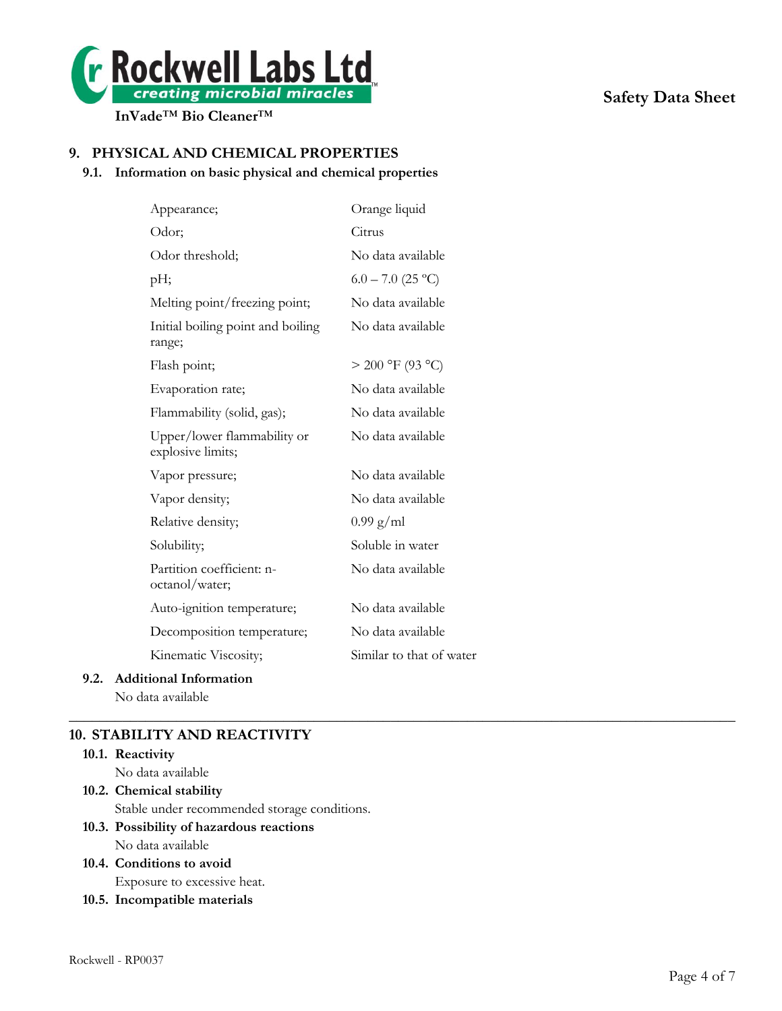

# **9. PHYSICAL AND CHEMICAL PROPERTIES**

## **9.1. Information on basic physical and chemical properties**

|      | Appearance;                                      | Orange liquid            |
|------|--------------------------------------------------|--------------------------|
|      | Odor;                                            | Citrus                   |
|      | Odor threshold;                                  | No data available        |
|      | pH;                                              | $6.0 - 7.0$ (25 °C)      |
|      | Melting point/freezing point;                    | No data available        |
|      | Initial boiling point and boiling<br>range;      | No data available        |
|      | Flash point;                                     | $> 200$ °F (93 °C)       |
|      | Evaporation rate;                                | No data available        |
|      | Flammability (solid, gas);                       | No data available        |
|      | Upper/lower flammability or<br>explosive limits; | No data available        |
|      | Vapor pressure;                                  | No data available        |
|      | Vapor density;                                   | No data available        |
|      | Relative density;                                | $0.99$ g/ml              |
|      | Solubility;                                      | Soluble in water         |
|      | Partition coefficient: n-<br>octanol/water;      | No data available        |
|      | Auto-ignition temperature;                       | No data available        |
|      | Decomposition temperature;                       | No data available        |
|      | Kinematic Viscosity;                             | Similar to that of water |
| 9.2. | <b>Additional Information</b>                    |                          |

 $\_$  , and the set of the set of the set of the set of the set of the set of the set of the set of the set of the set of the set of the set of the set of the set of the set of the set of the set of the set of the set of th

No data available

# **10. STABILITY AND REACTIVITY**

| 10.1. Reactivity                             |
|----------------------------------------------|
| No data available                            |
| 10.2. Chemical stability                     |
| Stable under recommended storage conditions. |
| 10.3. Possibility of hazardous reactions     |
| No data available                            |

# **10.4. Conditions to avoid** Exposure to excessive heat.

**10.5. Incompatible materials**

# **Safety Data Sheet**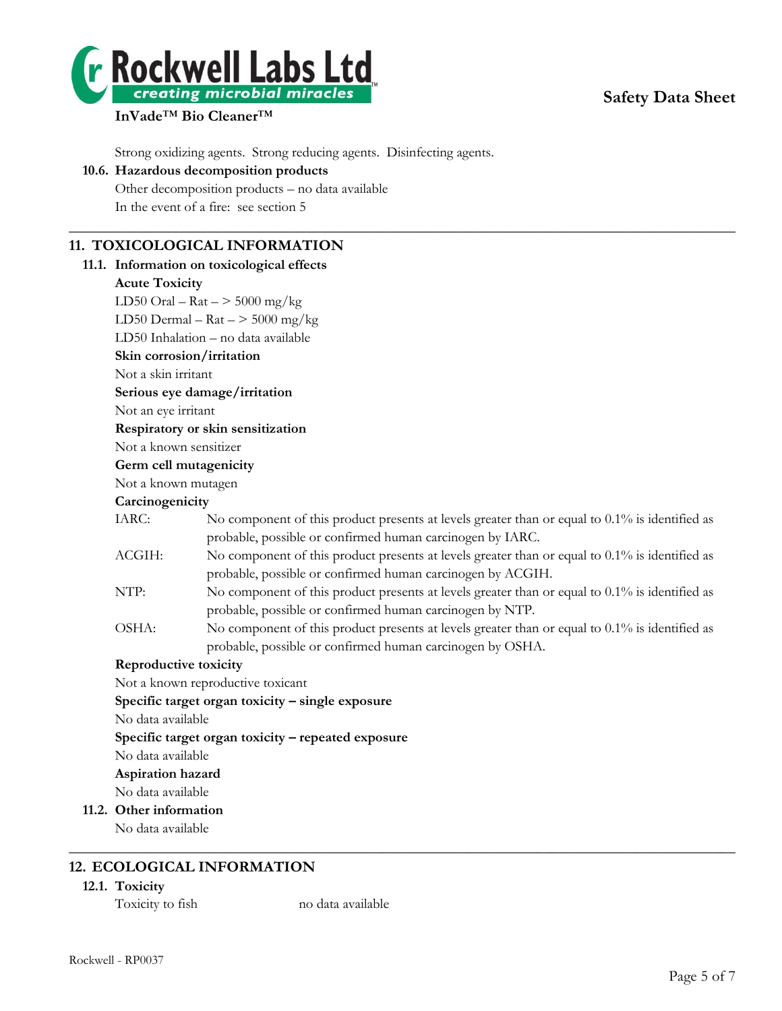

# **Safety Data Sheet**

# **InVade**™ **Bio Cleaner**™

Strong oxidizing agents. Strong reducing agents. Disinfecting agents.

## **10.6. Hazardous decomposition products**

Other decomposition products – no data available In the event of a fire: see section 5

# **11. TOXICOLOGICAL INFORMATION**

#### **11.1. Information on toxicological effects**

#### **Acute Toxicity**

LD50 Oral –  $\text{Rat}$  –  $>$  5000 mg/kg

LD50 Dermal –  $\text{Rat}$  –  $>$  5000 mg/kg

LD50 Inhalation – no data available

**Skin corrosion/irritation**

Not a skin irritant

#### **Serious eye damage/irritation**

Not an eye irritant

#### **Respiratory or skin sensitization**

Not a known sensitizer

#### **Germ cell mutagenicity**

Not a known mutagen

#### **Carcinogenicity**

| IARC: | No component of this product presents at levels greater than or equal to $0.1\%$ is identified as |
|-------|---------------------------------------------------------------------------------------------------|
|       | probable, possible or confirmed human carcinogen by IARC.                                         |
| ACGIH | No component of this product presents at levels greater than or equal to $0.1\%$ is identified as |

 $\_$  , and the set of the set of the set of the set of the set of the set of the set of the set of the set of the set of the set of the set of the set of the set of the set of the set of the set of the set of the set of th

- ACGIH: No component of this product presents at levels greater than or equal to 0.1% is identified as probable, possible or confirmed human carcinogen by ACGIH.
- NTP: No component of this product presents at levels greater than or equal to 0.1% is identified as probable, possible or confirmed human carcinogen by NTP.
- OSHA: No component of this product presents at levels greater than or equal to 0.1% is identified as probable, possible or confirmed human carcinogen by OSHA.

 $\_$  , and the set of the set of the set of the set of the set of the set of the set of the set of the set of the set of the set of the set of the set of the set of the set of the set of the set of the set of the set of th

## **Reproductive toxicity**

Not a known reproductive toxicant

**Specific target organ toxicity – single exposure**

No data available

**Specific target organ toxicity – repeated exposure**

No data available

**Aspiration hazard**

No data available

**11.2. Other information**

No data available

# **12. ECOLOGICAL INFORMATION**

## **12.1. Toxicity**

Toxicity to fish no data available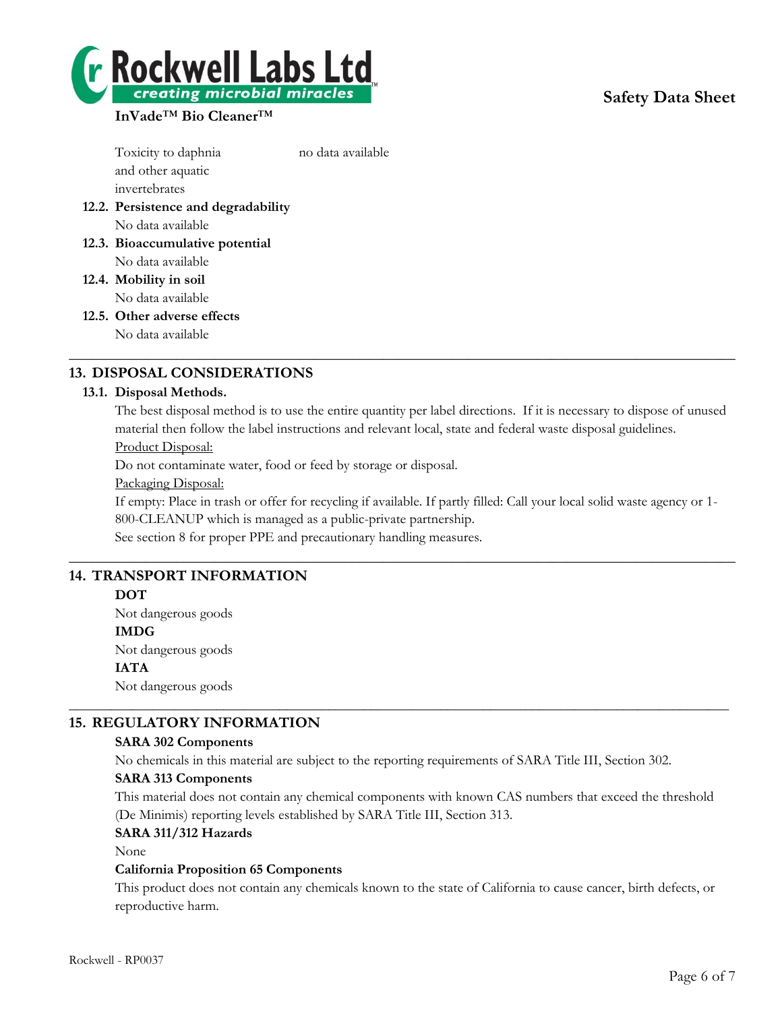# **Safety Data Sheet**



# **InVade**™ **Bio Cleaner**™

Toxicity to daphnia no data available and other aquatic invertebrates **12.2. Persistence and degradability** No data available

- **12.3. Bioaccumulative potential** No data available
- **12.4. Mobility in soil** No data available
- **12.5. Other adverse effects**

No data available

# **13. DISPOSAL CONSIDERATIONS**

# **13.1. Disposal Methods.**

The best disposal method is to use the entire quantity per label directions. If it is necessary to dispose of unused material then follow the label instructions and relevant local, state and federal waste disposal guidelines. Product Disposal:

 $\_$  , and the set of the set of the set of the set of the set of the set of the set of the set of the set of the set of the set of the set of the set of the set of the set of the set of the set of the set of the set of th

Do not contaminate water, food or feed by storage or disposal.

Packaging Disposal:

If empty: Place in trash or offer for recycling if available. If partly filled: Call your local solid waste agency or 1- 800-CLEANUP which is managed as a public-private partnership.

 $\_$  , and the set of the set of the set of the set of the set of the set of the set of the set of the set of the set of the set of the set of the set of the set of the set of the set of the set of the set of the set of th

See section 8 for proper PPE and precautionary handling measures.

# **14. TRANSPORT INFORMATION**

## **DOT**

Not dangerous goods **IMDG** Not dangerous goods **IATA** Not dangerous goods

# **15. REGULATORY INFORMATION**

## **SARA 302 Components**

No chemicals in this material are subject to the reporting requirements of SARA Title III, Section 302.

\_\_\_\_\_\_\_\_\_\_\_\_\_\_\_\_\_\_\_\_\_\_\_\_\_\_\_\_\_\_\_\_\_\_\_\_\_\_\_\_\_\_\_\_\_\_\_\_\_\_\_\_\_\_\_\_\_\_\_\_\_\_\_\_\_\_\_\_\_\_\_\_\_\_\_\_\_\_\_\_\_\_\_\_\_\_\_\_\_\_\_\_\_\_

# **SARA 313 Components**

This material does not contain any chemical components with known CAS numbers that exceed the threshold (De Minimis) reporting levels established by SARA Title III, Section 313.

## **SARA 311/312 Hazards**

None

## **California Proposition 65 Components**

This product does not contain any chemicals known to the state of California to cause cancer, birth defects, or reproductive harm.